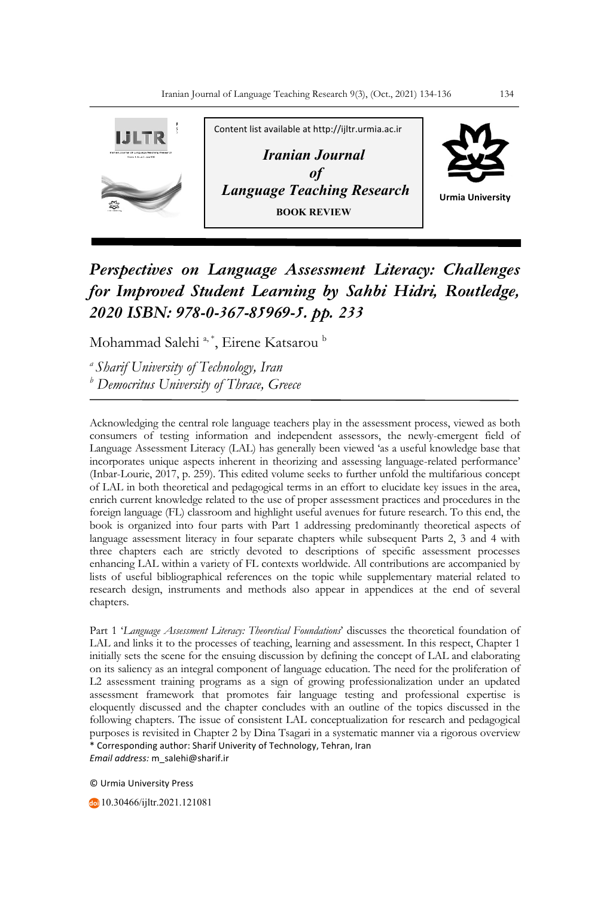

## *Perspectives on Language Assessment Literacy: Challenges for Improved Student Learning by Sahbi Hidri, Routledge, 2020 ISBN: 978-0-367-85969-5. pp. 233*

Mohammad Salehi<sup>a,\*</sup>, Eirene Katsarou<sup>b</sup>

*a Sharif University of Technology, Iran <sup>b</sup> Democritus University of Thrace, Greece*

Acknowledging the central role language teachers play in the assessment process, viewed as both consumers of testing information and independent assessors, the newly-emergent field of Language Assessment Literacy (LAL) has generally been viewed 'as a useful knowledge base that incorporates unique aspects inherent in theorizing and assessing language-related performance' (Inbar-Lourie, 2017, p. 259). This edited volume seeks to further unfold the multifarious concept of LAL in both theoretical and pedagogical terms in an effort to elucidate key issues in the area, enrich current knowledge related to the use of proper assessment practices and procedures in the foreign language (FL) classroom and highlight useful avenues for future research. To this end, the book is organized into four parts with Part 1 addressing predominantly theoretical aspects of language assessment literacy in four separate chapters while subsequent Parts 2, 3 and 4 with three chapters each are strictly devoted to descriptions of specific assessment processes enhancing LAL within a variety of FL contexts worldwide. All contributions are accompanied by lists of useful bibliographical references on the topic while supplementary material related to research design, instruments and methods also appear in appendices at the end of several chapters.

\* Corresponding author: Sharif Univerity of Technology, Tehran, Iran *Email address:* m\_salehi@sharif.ir Part 1 '*Language Assessment Literacy: Theoretical Foundations*' discusses the theoretical foundation of LAL and links it to the processes of teaching, learning and assessment. In this respect, Chapter 1 initially sets the scene for the ensuing discussion by defining the concept of LAL and elaborating on its saliency as an integral component of language education. The need for the proliferation of L2 assessment training programs as a sign of growing professionalization under an updated assessment framework that promotes fair language testing and professional expertise is eloquently discussed and the chapter concludes with an outline of the topics discussed in the following chapters. The issue of consistent LAL conceptualization for research and pedagogical purposes is revisited in Chapter 2 by Dina Tsagari in a systematic manner via a rigorous overview

© Urmia University Press

10.30466/ijltr.2021.121081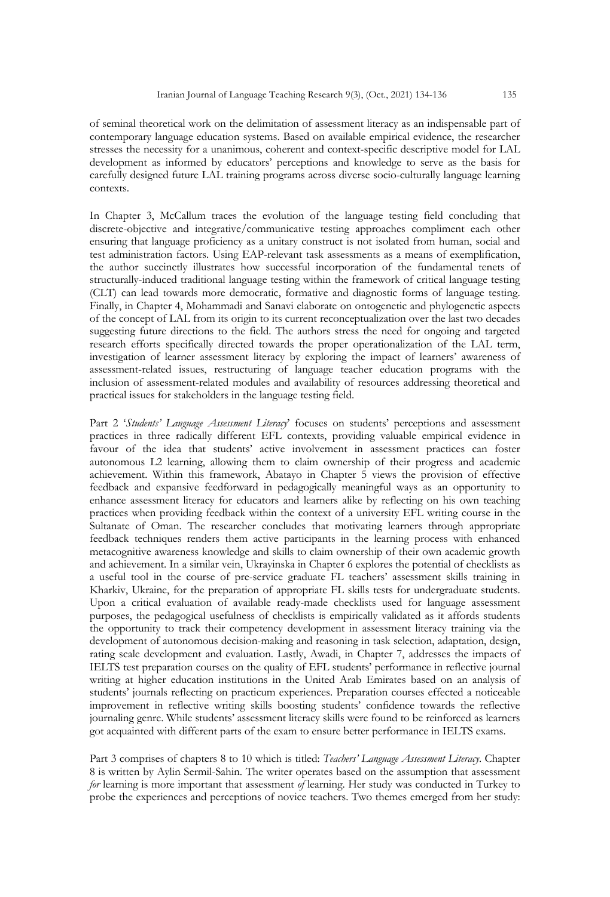of seminal theoretical work on the delimitation of assessment literacy as an indispensable part of contemporary language education systems. Based on available empirical evidence, the researcher stresses the necessity for a unanimous, coherent and context-specific descriptive model for LAL development as informed by educators' perceptions and knowledge to serve as the basis for carefully designed future LAL training programs across diverse socio-culturally language learning contexts.

In Chapter 3, McCallum traces the evolution of the language testing field concluding that discrete-objective and integrative/communicative testing approaches compliment each other ensuring that language proficiency as a unitary construct is not isolated from human, social and test administration factors. Using EAP-relevant task assessments as a means of exemplification, the author succinctly illustrates how successful incorporation of the fundamental tenets of structurally-induced traditional language testing within the framework of critical language testing (CLT) can lead towards more democratic, formative and diagnostic forms of language testing. Finally, in Chapter 4, Mohammadi and Sanavi elaborate on ontogenetic and phylogenetic aspects of the concept of LAL from its origin to its current reconceptualization over the last two decades suggesting future directions to the field. The authors stress the need for ongoing and targeted research efforts specifically directed towards the proper operationalization of the LAL term, investigation of learner assessment literacy by exploring the impact of learners' awareness of assessment-related issues, restructuring of language teacher education programs with the inclusion of assessment-related modules and availability of resources addressing theoretical and practical issues for stakeholders in the language testing field.

Part 2 '*Students' Language Assessment Literacy*' focuses on students' perceptions and assessment practices in three radically different EFL contexts, providing valuable empirical evidence in favour of the idea that students' active involvement in assessment practices can foster autonomous L2 learning, allowing them to claim ownership of their progress and academic achievement. Within this framework, Abatayo in Chapter 5 views the provision of effective feedback and expansive feedforward in pedagogically meaningful ways as an opportunity to enhance assessment literacy for educators and learners alike by reflecting on his own teaching practices when providing feedback within the context of a university EFL writing course in the Sultanate of Oman. The researcher concludes that motivating learners through appropriate feedback techniques renders them active participants in the learning process with enhanced metacognitive awareness knowledge and skills to claim ownership of their own academic growth and achievement. In a similar vein, Ukrayinska in Chapter 6 explores the potential of checklists as a useful tool in the course of pre-service graduate FL teachers' assessment skills training in Kharkiv, Ukraine, for the preparation of appropriate FL skills tests for undergraduate students. Upon a critical evaluation of available ready-made checklists used for language assessment purposes, the pedagogical usefulness of checklists is empirically validated as it affords students the opportunity to track their competency development in assessment literacy training via the development of autonomous decision-making and reasoning in task selection, adaptation, design, rating scale development and evaluation. Lastly, Awadi, in Chapter 7, addresses the impacts of IELTS test preparation courses on the quality of EFL students' performance in reflective journal writing at higher education institutions in the United Arab Emirates based on an analysis of students' journals reflecting on practicum experiences. Preparation courses effected a noticeable improvement in reflective writing skills boosting students' confidence towards the reflective journaling genre. While students' assessment literacy skills were found to be reinforced as learners got acquainted with different parts of the exam to ensure better performance in IELTS exams.

Part 3 comprises of chapters 8 to 10 which is titled: *Teachers' Language Assessment Literacy*. Chapter 8 is written by Aylin Sermil-Sahin. The writer operates based on the assumption that assessment *for* learning is more important that assessment *of* learning. Her study was conducted in Turkey to probe the experiences and perceptions of novice teachers. Two themes emerged from her study: